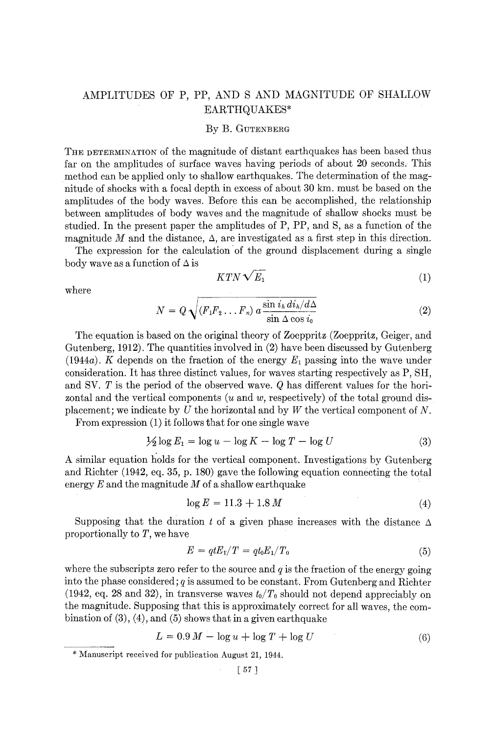# AMPLITUDES OF P, PP, AND S AND MAGNITUDE OF SHALLOW EARTHQUAKES\*

## By B. GUTENBERG

THE DETERMINATION of the magnitude of distant earthquakes has been based thus far on the amplitudes of surface waves having periods of about 20 seconds. This method can be applied only to shallow earthquakes. The determination of the magnitude of shocks with a focal depth in excess of about 30 km, must be based on the amplitudes of the body waves. Before this can be accomplished, the relationship between amplitudes of body waves and the magnitude of shallow shocks must be studied. In the present paper the amplitudes of P, PP, and S, as a function of the magnitude M and the distance,  $\Delta$ , are investigated as a first step in this direction.

The expression for the calculation of the ground displacement during a single body wave as a function of  $\Delta$  is

$$
KTN\sqrt{E_1} \tag{1}
$$

where

$$
N = Q \sqrt{(F_1 F_2 \dots F_n) a \frac{\sin i_k d i_k / d\Delta}{\sin \Delta \cos i_0}}
$$
 (2)

The equation is based on the original theory of Zoeppritz (Zoeppritz, Geiger, and Gutenberg, 1912). The quantities involved in (2) have been discussed by Gutenberg (1944a). K depends on the fraction of the energy  $E_1$  passing into the wave under consideration. It has three distinct values, for waves starting respectively as P, SH, and SV. T is the period of the observed wave. Q has different values for the horizontal and the vertical components  $(u \text{ and } w, \text{ respectively})$  of the total ground displacement; we indicate by U the horizontal and by W the vertical component of N.

From expression (1) it follows that for one single wave

$$
\frac{1}{2}\log E_1 = \log u - \log K - \log T - \log U \tag{3}
$$

A similar equation holds for the vertical component. Investigations by Gutenberg and Richter (1942, eq. 35, p. 180) gave the following equation connecting the total energy  $E$  and the magnitude  $M$  of a shallow earthquake

$$
\log E = 11.3 + 1.8 M \tag{4}
$$

Supposing that the duration t of a given phase increases with the distance  $\Delta$ proportionally to T, we have

$$
E = qtE1/T = qt0E1/T0
$$
\n(5)

where the subscripts zero refer to the source and  $q$  is the fraction of the energy going into the phase considered;  $q$  is assumed to be constant. From Gutenberg and Richter (1942, eq. 28 and 32), in transverse waves  $t_0/T_0$  should not depend appreciably on the magnitude. Supposing that this is approximately correct for all waves, the combination of  $(3)$ ,  $(4)$ , and  $(5)$  shows that in a given earthquake

$$
L = 0.9 M - \log u + \log T + \log U \tag{6}
$$

<sup>\*</sup> Manuscript received for publication August 21, 1944.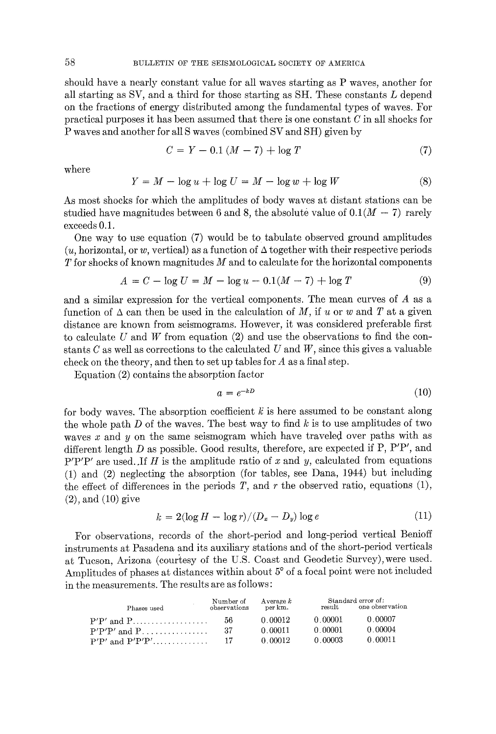should have a nearly constant value for all waves starting as P waves, another for all starting as SV, and a third for those starting as SH. These constants L depend on the fractions of energy distributed among the fundamental types of waves. For practical purposes it has been assumed that there is one constant  $C$  in all shocks for P waves and another for all S waves (combined SV and SH) given by

$$
C = Y - 0.1 (M - 7) + \log T \tag{7}
$$

where

$$
Y = M - \log u + \log U = M - \log w + \log W \tag{8}
$$

As most shocks for which the amplitudes of body waves at distant stations can be studied have magnitudes between 6 and 8, the absolute value of  $0.1(M - 7)$  rarely exceeds 0.1.

One way to use equation (7) would be to tabulate observed ground amplitudes  $(u,$  horizontal, or w, vertical) as a function of  $\Delta$  together with their respective periods  $T$  for shocks of known magnitudes  $M$  and to calculate for the horizontal components

$$
A = C - \log U = M - \log u - 0.1(M - 7) + \log T \tag{9}
$$

and a similar expression for the vertical components. The mean curves of A as a function of  $\Delta$  can then be used in the calculation of M, if u or w and T at a given distance are known from seismograms. However, it was considered preferable first to calculate U and W from equation  $(2)$  and use the observations to find the constants  $C$  as well as corrections to the calculated  $U$  and  $W$ , since this gives a valuable check on the theory, and then to set up tables for  $A$  as a final step.

Equation (2) contains the absorption factor

$$
a = e^{-kD} \tag{10}
$$

for body waves. The absorption coefficient  $k$  is here assumed to be constant along the whole path  $D$  of the waves. The best way to find  $k$  is to use amplitudes of two waves  $x$  and  $y$  on the same seismogram which have traveled over paths with as different length  $D$  as possible. Good results, therefore, are expected if P, P'P', and  $P'P'P'$  are used. If H is the amplitude ratio of x and y, calculated from equations (1) and (2) neglecting the absorption (for tables, see Dana, 1944) but including the effect of differences in the periods  $T$ , and  $r$  the observed ratio, equations (1), (2), and (10) give

$$
k = 2(\log H - \log r)/(D_x - D_y)\log e \tag{11}
$$

For observations, records of the short-period and long-period vertical Benioff instruments at Pasadena and its auxiliary stations and of the short-period verticals at Tucson, Arizona (courtesy of the U.S. Coast and Geodetic Survey), were used. Amplitudes of phases at distances within about 5° of a focal point were not included in the measurements. The results are as follows :

| Phases used      | Number of<br>observations | Average $k$<br>per km. |                    | Standard error of:<br>result one observation |
|------------------|---------------------------|------------------------|--------------------|----------------------------------------------|
|                  | - 56                      | 0.00012                | 0.00001            | 0.00007                                      |
| $P'P'P'$ and $P$ | -37                       | 0.00011<br>0.00012     | . റ നവി<br>0.00003 | 0 00004<br>0.00011                           |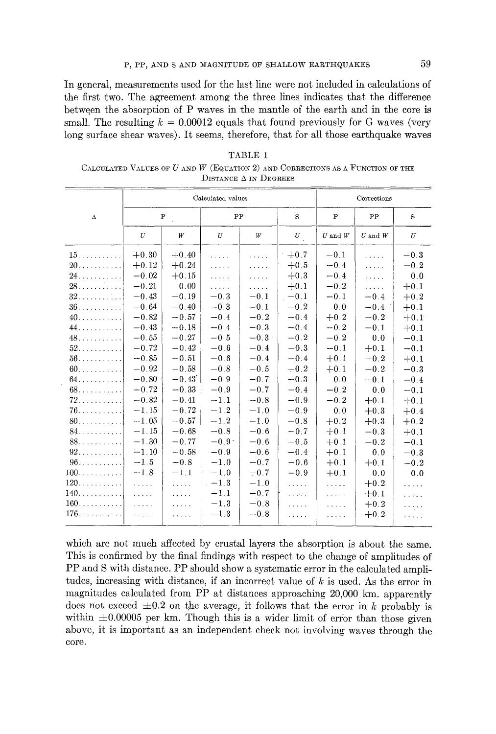In general, measurements used for the last line were not included in calculations of the first two. The agreement among the three lines indicates that the difference between the absorption of P waves in the mantle of the earth and in the core is small. The resulting  $k = 0.00012$  equals that found previously for G waves (very long surface shear waves). It seems, therefore, that for all those earthquake waves

| TABLE 1                                                                        |
|--------------------------------------------------------------------------------|
| CALCULATED VALUES OF U AND W (EQUATION 2) AND CORRECTIONS AS A FUNCTION OF THE |
| DISTANCE $\Delta$ in Degrees                                                   |

|                            |                                                                                           |              | Calculated values        |        |                       |                                       | Corrections |          |
|----------------------------|-------------------------------------------------------------------------------------------|--------------|--------------------------|--------|-----------------------|---------------------------------------|-------------|----------|
| $\Delta$                   |                                                                                           | $\mathbf{P}$ | PP                       |        | S                     | $\mathbf{P}$                          | PP          | S        |
|                            | U                                                                                         | W            | U                        | W      | $\boldsymbol{U}_{\_}$ | $\boldsymbol{U}$ and $\boldsymbol{W}$ | $U$ and $W$ | U        |
| $15.$                      | $+0.30$                                                                                   | $+0.40$      | $\mathbf{r}$ is a set of | .      | $+0.7$                | $-0.1$                                | .           | $-0.3$   |
| 20.                        | $+0.12$                                                                                   | $+0.24$      | .                        | .      | $+0.5$                | $-0.4$                                | .           | $-0.2$   |
| 24.                        | $-0.02$                                                                                   | $+0.15$      | .                        | .      | $+0.3$                | $-0.4$                                | .           | 0.0      |
|                            | $-0.21$                                                                                   | 0.00         | 1.1.1.1                  | .      | $+0.1$                | $-0.2$                                | $\cdots$    | $+0.1$   |
| 32.                        | $-0.43$                                                                                   | $-0.19$      | $-0.3$                   | $-0.1$ | $-0.1$                | $-0.1$                                | $-0.4$      | $+0.2$   |
| $36. \ldots \ldots \ldots$ | $\bf -0.64$                                                                               | $-0.40$      | $-0.3$                   | $-0.1$ | $-0.2$                | 0.0                                   | $-0.4$      | $+0.1$   |
|                            | $-0.82$                                                                                   | $-0.57$      | $-0.4$                   | $-0.2$ | $-0.4$                | $+0.2$                                | $-0.2$      | $+0.1$   |
| 44.                        | $-0.43$                                                                                   | $-0.18$      | $-0.4$                   | $-0.3$ | $-0.4$                | $-0.2$                                | $-0.1$      | $+0.1$   |
| 48.                        | $-0.55$                                                                                   | $-0.27$      | $-0.5$                   | $-0.3$ | $-0.2$                | $-0.2$                                | 0.0         | $-0.1$   |
| $52.$                      | $-0.72$                                                                                   | $-0.42$      | $-0.6$                   | $-0.4$ | $-0.3$                | $-0.1$                                | $+0.1$      | $-0.1$   |
| $56.$                      | $-0.85$                                                                                   | $-0.51$      | $-0.6$                   | $-0.4$ | $-0.4$                | $+0.1$                                | $-0.2$      | $+0.1$   |
| $60.$                      | $-0.92$                                                                                   | $-0.58$      | $-0.8$                   | $-0.5$ | $-0.2$                | $+0.1$                                | $-0.2$      | $-0.3$   |
| $64.$                      | $-0.80$                                                                                   | $-0.43'$     | $-0.9$                   | $-0.7$ | $-0.3$                | 0.0                                   | $-0.1$      | $-0.4$   |
|                            | $-0.72$                                                                                   | $-0.33$      | $-0.9$                   | $-0.7$ | $-0.4$                | $-0.2$                                | 0.0         | $-0.1$   |
| $72.$                      | $-0.82$                                                                                   | $-0.41$      | $-1.1$                   | $-0.8$ | $-0.9$                | $-0.2$                                | $+0.1$      | $+0.1$   |
| $76.$                      | $-1.15$                                                                                   | $-0.72$      | $-1.2$                   | $-1.0$ | $-0.9$                | 0.0                                   | $+0.3$      | $+0.4$   |
| $80$                       | $-1.05$                                                                                   | $-0.57$      | $-1.2$                   | $-1.0$ | $-0.8$                | $+0.2$                                | $+0.3$      | $+0.2$   |
| 84.                        | $-1.15$                                                                                   | $-0.68$      | $-0.8$                   | $-0.6$ | $-0.7$                | $+0.1$                                | $-0.3$      | $+0.1$   |
| 88.                        | $-1.30$                                                                                   | $-0.77$      | $-0.9o$                  | $-0.6$ | $-0.5$                | $+0.1$                                | $-0.2$      | $-0.1$   |
| $92.$                      | $-1.10$                                                                                   | $-0.58$      | $-0.9$                   | $-0.6$ | $-0.4$                | $+0.1$                                | 0.0         | $-0.3$   |
| $96.$                      | $-1.5$                                                                                    | $-0.8$       | $-1.0$                   | $-0.7$ | $-0.6$                | $+0.1$                                | $+0.1$      | $-0.2$   |
|                            | $-1.8$                                                                                    | $-1.1$       | $-1.0$                   | $-0.7$ | $-0.9$                | $+0.1$                                | 0.0         | 0.0      |
|                            | $\mathcal{L}(\mathcal{L}(\mathcal{L},\mathcal{L},\mathcal{L}))$                           | .            | $-1.3$                   | $-1.0$ | .                     | $\ldots$                              | $+0.2$      | $\ldots$ |
|                            | $\mathcal{L}^{\mathcal{L}}$ , $\mathcal{L}^{\mathcal{L}}$ , $\mathcal{L}^{\mathcal{L}}$ , | $\cdots$     | $-1.1$                   | $-0.7$ | a a cona              | .                                     | $+0.1$      | .        |
| $160$                      | .                                                                                         | .            | $-1.3$                   | $-0.8$ | .                     | .                                     | $+0.2$      | .        |
| $176.$                     | $\alpha$ , $\beta$ , $\beta$                                                              | .            | $-1.3$                   | $-0.8$ | .                     | $\cdots$                              | $+0.2$      | .        |

which are not much affected by crustal layers the absorption is about the same. This is confirmed by the final findings with respect to the change of amplitudes of PP and S with distance. PP should show a systematic error in the calculated amplitudes, increasing with distance, if an incorrect value of  $k$  is used. As the error in magnitudes calculated from PP at distances approaching 20,000 km. apparently does not exceed  $\pm 0.2$  on the average, it follows that the error in k probably is within  $\pm 0.00005$  per km. Though this is a wider limit of error than those given above, it is important as an independent check not involving waves through the core.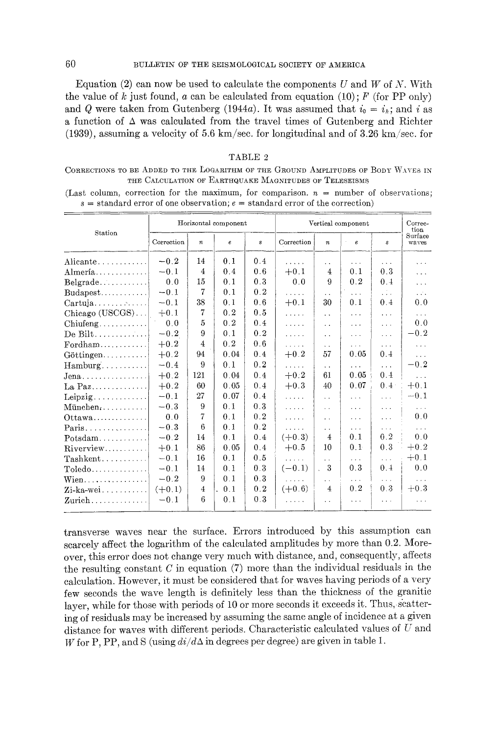Equation (2) can now be used to calculate the components U and W of N. With the value of k just found, a can be calculated from equation  $(10)$ ; F (for PP only) and Q were taken from Gutenberg (1944a). It was assumed that  $i_0 = i_h$ ; and i as a function of  $\Delta$  was calculated from the travel times of Gutenberg and Richter (1939), assuming a velocity of 5.6 km/sec, for longitudinal and of 3.26 km/sec, for

#### TABLE 2

CORRECTIONS TO BE ADDED TO THE LOGARITHM OF THE CROUND AMPLITUDES OF BODY WAVES IN THE CALCULATION OF EARTHQUAKE MAGNITUDES OF TELESEISMS

(Last column, correction for the maximum, for comparison,  $n =$  number of observations;  $s =$  standard error of one observation;  $e =$  standard error of the correction)

| Station<br>Correction<br>Correction<br>$\pmb{e}$<br>à.<br>$\boldsymbol{n}$<br>$\bf g$<br>$\pmb{e}$<br>$\boldsymbol{n}$<br>$\boldsymbol{s}$                       | Surface<br>waves                         |
|------------------------------------------------------------------------------------------------------------------------------------------------------------------|------------------------------------------|
|                                                                                                                                                                  |                                          |
| $-0.2$<br>14<br>0.1<br>0.4<br>Alicante<br>$\cdots$<br>$\cdots$<br>$\cdots$<br>. .                                                                                | $\ddotsc$                                |
| 0.3<br>$-0.1$<br>$\overline{4}$<br>$+0.1$<br>0.1<br>0.4<br>0.6<br>$\overline{4}$<br>Almería                                                                      | $\cdots$                                 |
| 0.0<br>15<br>0.1<br>0.3<br>0.2<br>Belgrade<br>0.0<br>9<br>0.4                                                                                                    | $\cdots$                                 |
| $\overline{7}$<br>0.2<br>$-0.1$<br>0.1<br>$Budapest$<br>$\ddotsc$<br>$\cdots$<br>$\cdots$<br>. .                                                                 | 1.111                                    |
| 38<br>0.1<br>0.6<br>$+0.1$<br>$-0.1$<br>30<br>0.1<br>0.4<br>Cartuja                                                                                              | 0.0                                      |
| 7<br>0.2<br>0.5<br>$+0.1$<br>Chicago (USCGS)<br>$\ldots$ .<br>$\cdots$<br>$\cdots$<br>$\ddot{\phantom{a}}$                                                       | $\ldots$                                 |
| 5<br>0.2<br>0.4<br>0.0<br>$Chiufeng$<br>$\ldots$<br>$\sim 10$<br>$\cdots$<br>$\ddot{\phantom{a}}$                                                                | 0.0                                      |
| 9<br>0.1<br>0.2<br>$-0.2$<br>$De Bilt$<br>$\ldots$ .<br>$\ldots$<br>$\cdots$<br>$\ddot{\phantom{0}}$                                                             | $-0.2$                                   |
| 0.6<br>$\overline{4}$<br>0.2<br>$+0.2$<br>$\text{For} \text{dham} \dots \dots \dots \dots$<br>.<br>$\sim$ $\sim$ $\sim$<br>$\sim$<br>$\ddot{\phantom{0}}$        | $\sim$ .                                 |
| 0.04<br>0.4<br>$+0.2$<br>57<br>0.05<br>0.4<br>$+0.2$<br>94<br>Göttingen                                                                                          | $\mathbf{r} \left( \mathbf{r} \right)$ . |
| 9<br>0.2<br>0.1<br>$-0.4$<br>Hamburg<br>1.1.1.1<br>$\cdots$<br>$\mathbf{1}$<br>$\ddot{\phantom{a}}$                                                              | $-0.2$                                   |
| 0.4<br>0.05<br>121<br>0.04<br>0.4<br>$+0.2$<br>61<br>$+0.2$<br>$Jena$                                                                                            | $\cdots$                                 |
| 0.07<br>0.05<br>$+0.3$<br>0.4 <sup>3</sup><br>60<br>0.4<br>40<br>$+0.2$<br>La Paz                                                                                | $+0.1$                                   |
| 27<br>0.07<br>0.4<br>$-0.1$<br>Leipzig.<br>$\mathbb{R}^n$ , $\mathbb{R}^n$<br>$\mathbf{1}$<br>$\sim 100$<br>$\sim$ $\sim$                                        | $-0.1$                                   |
| 0.1<br>0.3<br>9<br>$-0.3$<br>$M$ ünchen $\ldots$<br>$\ldots$<br>a a s<br>$\ddotsc$<br>$\sim 10^{-1}$                                                             |                                          |
| 7<br>0.2<br>0.0<br>0.1<br>$\ldots$<br>Ottawa<br>$\sim 100$<br>$\sim$ $\sim$ $\sim$<br>$\ddot{\phantom{0}}$                                                       | 0.0                                      |
| 0.2<br>6<br>$-0.3$<br>0.1<br>$Paris \ldots $<br>$\mathcal{L}(\mathcal{L}(\mathcal{L},\mathcal{L},\mathcal{L}))$<br>$\cdots$<br>$\sim$ $\sim$ $\sim$<br>$\ddotsc$ | $\ldots$                                 |
| 0.1<br>0.2<br>0.1<br>0.4<br>$(+0.3)$<br>14<br>$\overline{4}$<br>$-0.2$<br>$Potsdam$                                                                              | 0.0                                      |
| 0.3<br>86<br>0.05<br>$+0.5$<br>10<br>0.1<br>0.4<br>$+0.1$<br>$Riverview$                                                                                         | $+0.2$                                   |
| 16<br>0.1<br>0.5<br>$-0.1$<br>1.2.1.1.1<br>$\ldots$<br>$\sim$ $\sim$ $\sim$<br>$\ddot{\phantom{a}}$                                                              | $+0.1$                                   |
| $(-0.1)$<br>-3<br>0.3<br>0.3<br>0.4<br>14<br>0.1<br>$-0.1$<br>$Toledo$<br>$\mathcal{L}^{\mathcal{L}}$                                                            | 0.0                                      |
| 0.1<br>0.3<br>9<br>$-0.2$<br>$Wien$<br>.<br>$\cdots$<br>$\ddot{\phantom{0}}$<br>$\mathbf{A}$                                                                     |                                          |
| 0.2<br>$(+0.6)$<br>0.3<br>0.2<br>$\overline{4}$<br>0.1<br>$(+0.1)$<br>4<br>$Zi$ -ka-wei                                                                          | $+0.3$                                   |
| 6<br>0.3<br>0.1<br>$-0.1$<br>Zurich $\ldots \ldots \ldots$<br>.<br>$\ldots$<br>.<br>$\ddot{\phantom{0}}$                                                         | .                                        |

transverse waves near the surface. Errors introduced by this assumption can scarcely affect the logarithm of the calculated amplitudes by more than 0.2. Moreover, this error does not change very much with distance, and, consequently, affects the resulting constant  $C$  in equation  $(7)$  more than the individual residuals in the calculation. However, it must be considered that for waves having periods of a very few seconds the wave length is definitely less than the thickness of the granitic layer, while for those with periods of 10 or more seconds it exceeds it. Thus, scattering of residuals may be increased by assuming the same angle of incidence at a given distance for waves with different periods. Characteristic calculated values of  $U$  and W for P, PP, and S (using  $di/d\Delta$  in degrees per degree) are given in table 1.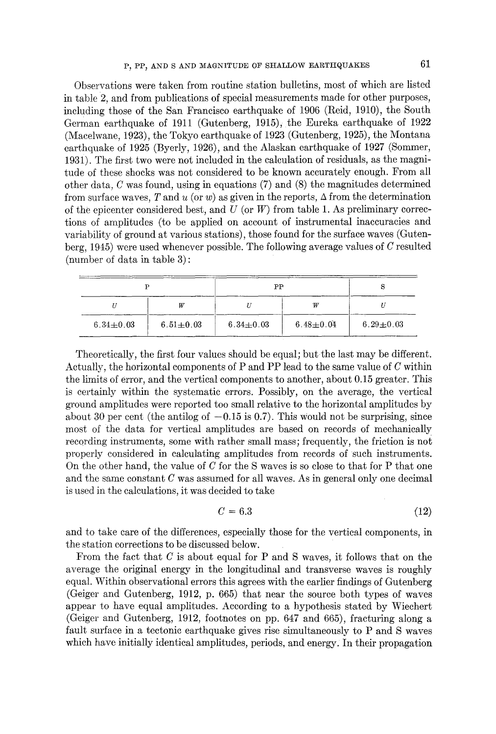Observations were taken from routine station bulletins, most of which are listed in table 2, and from publications of special measurements made for other purposes, including those of the San Francisco earthquake of 1906 (Reid, 1910), the South German earthquake of 1911 (Gutenberg, 1915), the Eureka earthquake of 1922 (Maeelwane, 1923), the Tokyo earthquake of 1923 (Gutenberg, 1925), the Montana earthquake of 1925 (Byerly, 1926), and the Alaskan earthquake of 1927 (Sommer, 1931). The first two were not included in the calculation of residuals, as the magnitude of these shocks was not considered to be known accurately enough. From all other data, C was found, using in equations (7) and (8) the magnitudes determined from surface waves, T and u (or w) as given in the reports,  $\Delta$  from the determination of the epicenter considered best, and  $U$  (or  $W$ ) from table 1. As preliminary corrections of amplitudes (to be applied on account of instrumental inaccuracies and variability of ground at various stations), those found for the surface waves (Gutenberg, 1945) were used whenever possible. The following average values of C resulted (number of data in table 3) :

|                 |                 | PP              |                 |                 |  |
|-----------------|-----------------|-----------------|-----------------|-----------------|--|
|                 | W               |                 | 'W              |                 |  |
| $6.34 \pm 0.03$ | $6.51 \pm 0.03$ | $6.34 \pm 0.03$ | $6.48 \pm 0.04$ | $6.29 \pm 0.03$ |  |

Theoretically, the first four values should be equal; but the last may be different. Actually, the horizontal components of P and PP lead to the same value of  $C$  within the limits of error, and the vertical components to another, about 0.15 greater. This is certainly within the systematic errors. Possibly, on the average, the vertical ground amplitudes were reported too small relative to the horizontal amplitudes by about 30 per cent (the antilog of  $-0.15$  is 0.7). This would not be surprising, since most of the data for vertical amplitudes are based on records of mechanically recording instruments, some with rather small mass; frequently, the friction is not properly considered in calculating amplitudes from records of such instruments. On the other hand, the value of  $C$  for the S waves is so close to that for P that one and the same constant  $C$  was assumed for all waves. As in general only one decimal is used in the ealeulations, it was decided to take

$$
C = 6.3 \tag{12}
$$

and to take care of the differences, especially those for the vertical components, in the station corrections to be discussed below.

From the fact that  $C$  is about equal for P and S waves, it follows that on the average the original energy in the longitudinal and transverse waves is roughly equal. Within observational errors this agrees with the earlier findings of Gutenberg (Geiger and Gutenberg, 1912, p. 665) that near the source both types of waves appear to have equal amplitudes. According to a hypothesis stated by Wieehert (Geiger and Gutenberg, 1912, footnotes on pp. 647 and 665), fracturing along a fault surface in a tectonic earthquake gives rise simultaneously to P and S waves which have initially identical amplitudes, periods, and energy. In their propagation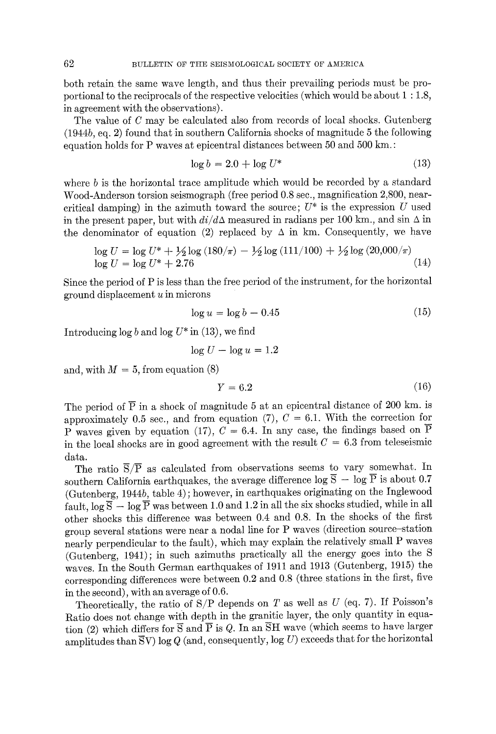both retain the same wave length, and thus their prevailing periods must be proportional to the reciprocals of the respective velocities (which would be about 1 : 1.8, in agreement with the observations).

The value of C may be calculated also from records of local shocks. Gutenberg (1944b, eq. 2) found that in southern California shocks of magnitude 5 the following equation holds for P waves at epicentral distances between  $50$  and  $500$  km.:

$$
\log b = 2.0 + \log U^* \tag{13}
$$

where  $b$  is the horizontal trace amplitude which would be recorded by a standard Wood-Anderson torsion seismograph (free period 0.8 see., magnification 2,800, nearcritical damping) in the azimuth toward the source;  $U^*$  is the expression U used in the present paper, but with  $di/d\Delta$  measured in radians per 100 km., and sin  $\Delta$  in the denominator of equation (2) replaced by  $\Delta$  in km. Consequently, we have

$$
\log U = \log U^* + \frac{1}{2} \log (180/\pi) - \frac{1}{2} \log (111/100) + \frac{1}{2} \log (20,000/\pi)
$$
  

$$
\log U = \log U^* + 2.76
$$
 (14)

Since the period of P is less than the free period of the instrument, for the horizontal  $ground$  displacement  $u$  in microns

$$
\log u = \log b - 0.45\tag{15}
$$

Introducing  $\log b$  and  $\log U^*$  in (13), we find

$$
\log U - \log u = 1.2
$$

and, with  $M = 5$ , from equation (8)

$$
Y = 6.2 \tag{16}
$$

The period of  $\overline{P}$  in a shock of magnitude 5 at an epicentral distance of 200 km. is approximately 0.5 sec., and from equation (7),  $C = 6.1$ . With the correction for P waves given by equation (17),  $C = 6.4$ . In any case, the findings based on P in the local shocks are in good agreement with the result  $C = 6.3$  from teleseismic data.

The ratio  $\overline{S}/\overline{P}$  as calculated from observations seems to vary somewhat. In southern California earthquakes, the average difference log  $\overline{S}$  - log  $\overline{P}$  is about 0.7 (Gutenberg, 1944b, table 4) ; however, in earthquakes originating on the Inglewood fault,  $\log \overline{S} - \log \overline{P}$  was between 1.0 and 1.2 in all the six shocks studied, while in all other shocks this difference was between 0.4 and 0.8. In the shocks of the first group several stations were near a nodal line for P waves (direction source-station nearly perpendicular to the fault), which may explain the relatively small P waves (Gutenberg, 1941); in such azimuths practically all the energy goes into the S waves. In the South German earthquakes of 1911 and 1913 (Gutenberg, 1915) the corresponding differences were between 0.2 and 0.8 (three stations in the first, five in the second), with an average of 0.6.

Theoretically, the ratio of  $S/P$  depends on T as well as U (eq. 7). If Poisson's Ratio does not change with depth in the granitic layer, the only quantity in equation (2) which differs for  $\overline{S}$  and  $\overline{P}$  is Q. In an  $\overline{S}H$  wave (which seems to have larger amplitudes than  $\overline{S}V$ ) log Q (and, consequently, log U) exceeds that for the horizontal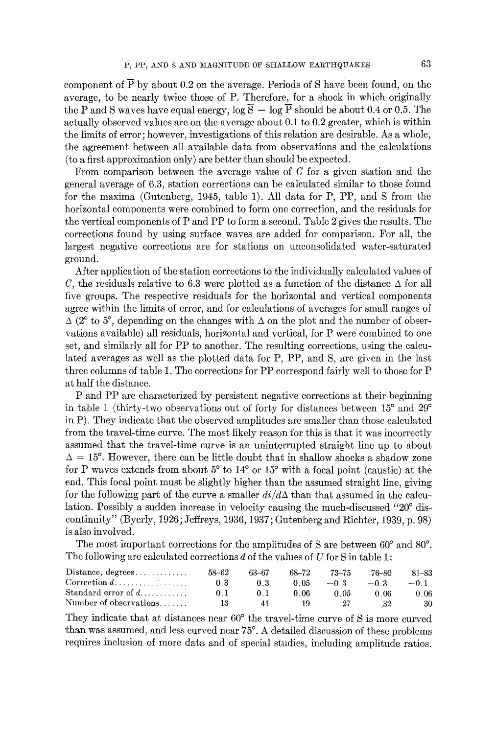component of  $\overline{P}$  by about 0.2 on the average. Periods of S have been found, on the average, to be nearly twice those of P. Therefore, for a shock in which originally the P and S waves have equal energy,  $\log \overline{S} - \log \overline{P}$  should be about 0.4 or 0.5. The actually observed values are on the average about 0.1 to 0.2 greater, which is within the limits of error; however, investigations of this relation are desirable. As a whole, the agreement between all available data from observations and the calculations (to a first approximation only) are better than should be expected.

From comparison between the average value of  $C$  for a given station and the general average of 6.3, station corrections can be calculated similar to those found for the maxima (Gutenberg, 1945, table 1). All data for P, PP, and S from the horizontal components were combined to form one correction, and the residuals for the vertical components of P and PP to form a second. Table 2 gives the results. The corrections found by using surface waves are added for comparison. For all, the largest negative corrections are for stations on unconsolidated water-saturated ground.

After application of the station corrections to the individually calculated values of C, the residuals relative to 6.3 were plotted as a function of the distance  $\Delta$  for all five groups. The respective residuals for the horizontal and vertical components agree within the limits of error, and for calculations of averages for small ranges of  $\Delta$  (2° to 5°, depending on the changes with  $\Delta$  on the plot and the number of observations available) all residuals, horizontal and vertical, for P were combined to one set, and similarly all for PP to another. The resulting corrections, using the calculated averages as well as the plotted data for P, PP, and S, are given in the last three columns of table 1. The corrections for PP correspond fairly well to those for P at half the distance.

P and PP are characterized by persistent negative corrections at their beginning in table 1 (thirty-two observations out of forty for distances between  $15^{\circ}$  and  $29^{\circ}$ in P). They indicate that the observed amplitudes are smaller than those calculated from the travel-time curve. The most likely reason for this is that it was incorrectly assumed that the travel-time curve is an uninterrupted straight line up to about  $\Delta = 15^{\circ}$ . However, there can be little doubt that in shallow shocks a shadow zone for P waves extends from about  $5^{\circ}$  to  $14^{\circ}$  or  $15^{\circ}$  with a focal point (caustic) at the end. This focal point must be slightly higher than the assumed straight line, giving for the following part of the curve a smaller  $di/d\Delta$  than that assumed in the calculation. Possibly a sudden increase in velocity causing the much-discussed *"20 °* discontinuity" (Byerly, 1926; Jeffreys, 1936, 1937; Gutenberg and Richter, 1939, p. 98) is also involved.

The most important corrections for the amplitudes of S are between  $60^{\circ}$  and  $80^{\circ}$ . The following are calculated corrections  $d$  of the values of  $U$  for  $S$  in table 1:

| $Distance, degrees. \ldots$          | 58–62 | 63–67 | 68–72 | 73–75  | 76–80  | 81-83 |
|--------------------------------------|-------|-------|-------|--------|--------|-------|
|                                      | 0.3   | 03    | O 05. | $-0.3$ | $-0.3$ | $-01$ |
| Standard error of $d_1, \ldots, d_n$ | 0 L   | 01    | 0. OG | 0 05   | 0.06   | 0.06  |
| Number of observations               | 13    | 41    | 19    |        | 32     | 30.   |

They indicate that at distances near  $60^{\circ}$  the travel-time curve of S is more curved than was assumed, and less curved near 75 °. A detailed discussion of these problems requires inclusion of more data and of special studies, including amplitude ratios.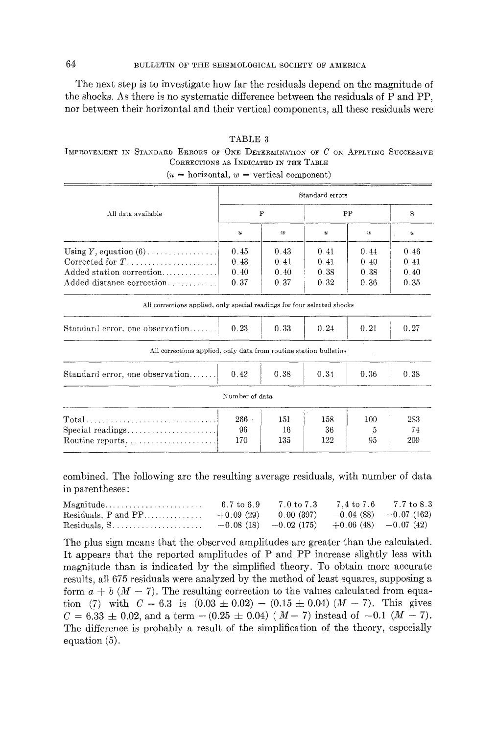# 64 BULLETIN OF THE SEISMOLOGICAL SOCIETY OF AMERICA

The next step is to investigate how far the residuals depend on the magnitude of the shocks. As there is no systematic difference between the residuals of P and PP, nor between their horizontal and their vertical components, all these residuals were

### TABLE 3

# IMPROVEMENT IN STANDARD ERRORS OF ONE DETERMINATION OF  $C$  on Applying Successive CORRECTIONS AS INDICATED IN THE TABLE

|                                                                         | Standard errors           |              |                  |      |                  |  |  |  |  |
|-------------------------------------------------------------------------|---------------------------|--------------|------------------|------|------------------|--|--|--|--|
| All data available                                                      |                           | $\mathbf{P}$ | PP               | S    |                  |  |  |  |  |
|                                                                         | $\boldsymbol{\mathit{u}}$ | w            | $\boldsymbol{u}$ | w    | $\boldsymbol{u}$ |  |  |  |  |
| Using $Y$ , equation $(6)$                                              | 0.45                      | 0.43         | 0.41             | 0.44 | 0.46             |  |  |  |  |
|                                                                         | 0.43                      | 0.41         | 0.41             | 0.40 | 0.41             |  |  |  |  |
| Added station correction                                                | 0.40                      | 0.40         | 0.38             | 0.38 | 0.40             |  |  |  |  |
| Added distance correction                                               | 0.37                      | 0.37         | 0.32             | 0.36 | 0.35             |  |  |  |  |
| All corrections applied, only special readings for four selected shocks |                           |              |                  |      |                  |  |  |  |  |
| Standard error, one observation                                         | 0.23                      | 0.33         | 0.24             | 0.21 | 0.27             |  |  |  |  |
| All corrections applied, only data from routine station bulletins       |                           |              |                  |      |                  |  |  |  |  |
| Standard error, one observation                                         | 0.42                      | 0.38         | 0.34             | 0.36 | 0.38             |  |  |  |  |
|                                                                         | Number of data            |              |                  |      |                  |  |  |  |  |
|                                                                         | $266$ ·                   | 151          | 158              | 100  | 283              |  |  |  |  |
|                                                                         | 96                        | 16           | 36               | 5    | 74               |  |  |  |  |
| $\text{Routine reports} \dots \dots \dots \dots \dots \dots \dots$      | 170                       | 135          | 122              | 95   | 209              |  |  |  |  |

#### $(u = horizontal, w = vertical component)$

combined. The following are the resulting average residuals, with number of data in parentheses:

| $\text{Magnitude} \dots \dots \dots \dots \dots \dots \dots \dots$ | 6.7 to 6.9 | $7.0\ {\rm to}\ 7.3$                             | 7.4 to 7.6 7.7 to 8.3 |
|--------------------------------------------------------------------|------------|--------------------------------------------------|-----------------------|
|                                                                    |            |                                                  |                       |
|                                                                    |            | $-0.08(18)$ $-0.02(175)$ $+0.06(48)$ $-0.07(42)$ |                       |

The plus sign means that the observed amplitudes are greater than the calculated. It appears that the reported amplitudes of P and PP increase slightly less with magnitude than is indicated by the simplified theory. To obtain more accurate results, all 675 residuals were analyzed by the method of least squares, supposing a form  $a + b$  ( $M - 7$ ). The resulting correction to the values calculated from equation (7) with  $C = 6.3$  is  $(0.03 \pm 0.02) - (0.15 \pm 0.04) (M - 7)$ . This gives  $C = 6.33 \pm 0.02$ , and a term  $-(0.25 \pm 0.04)$  ( $M-7$ ) instead of  $-0.1$  ( $M-7$ ). The difference is probably a result of the simplification of the theory, especially equation (5).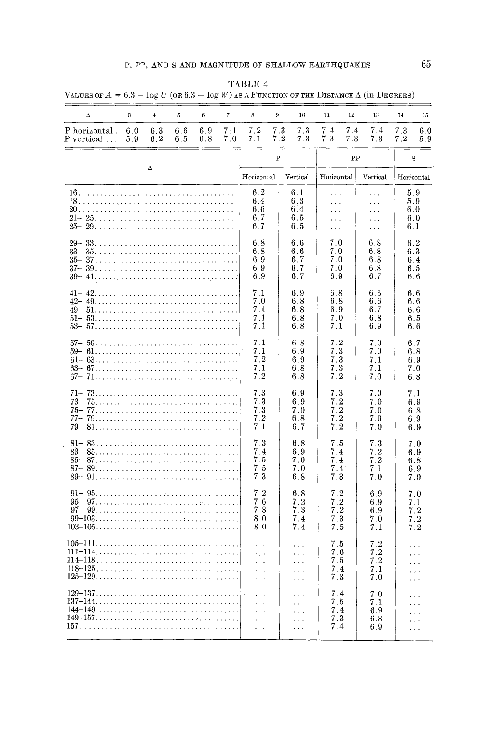| Δ                                                                                                           | 3          | $\overline{\mathbf{4}}$ | 5          | 6          | 7          | 8                                                                             | 9            | 10                                                                  | 11                                                                         | 12        | 13                              | 14         | 15                                       |
|-------------------------------------------------------------------------------------------------------------|------------|-------------------------|------------|------------|------------|-------------------------------------------------------------------------------|--------------|---------------------------------------------------------------------|----------------------------------------------------------------------------|-----------|---------------------------------|------------|------------------------------------------|
| P horizontal.<br>P vertical                                                                                 | 6.0<br>5.9 | 6.3<br>6.2              | 6.6<br>6.5 | 6.9<br>6.8 | 7:1<br>7.0 | 7.2<br>7.1                                                                    | 7.3<br>7.2   | 7.3<br>7.3                                                          | 7.4<br>7.3                                                                 | 7.4<br>73 | 7.4<br>7.3                      | 7.3<br>7.2 | 6.0<br>5.9                               |
|                                                                                                             |            |                         |            |            |            |                                                                               | $\mathbf{P}$ |                                                                     |                                                                            | PP        |                                 |            | S                                        |
|                                                                                                             |            | Δ                       |            |            |            | Horizontal                                                                    |              | Vertical                                                            | Horizontal                                                                 |           | Vertical                        | Horizontal |                                          |
|                                                                                                             |            |                         |            |            |            | 6.2<br>6.4<br>6.6<br>6.7<br>6.7                                               |              | 6.1<br>6.3<br>6.4<br>6.5<br>6.5                                     | $\cdots$<br>$\ldots$<br>$\ddotsc$<br>$\sim$ $\sim$<br>$\sim$ $\sim$ $\sim$ |           | $\cdots$<br>.<br>.<br>.<br>.    |            | 5.9<br>5.9<br>6.0<br>6.0<br>6.1          |
|                                                                                                             |            |                         |            |            |            | 6.8<br>6.8<br>6.9<br>6.9<br>6.9                                               |              | 6.6<br>6.6<br>6.7<br>6.7<br>6.7                                     | 7.0<br>7.0<br>7.0<br>7.0<br>6.9                                            |           | 6.8<br>6.8<br>6.8<br>6.8<br>6.7 |            | 6.2<br>63<br>6.4<br>6.5<br>6.6           |
|                                                                                                             |            |                         |            |            |            | 7.1<br>7.0<br>7.1<br>7.1<br>7.1                                               |              | 6.9<br>6.8<br>6.8<br>6.8<br>6.8                                     | 6.8<br>68<br>6.9<br>7.0<br>7.1                                             |           | 6.6<br>66<br>6.7<br>6.8<br>6.9  |            | 6.6<br>6.6<br>6.6<br>6.5<br>66           |
|                                                                                                             |            |                         |            |            |            | 7.1<br>7.1<br>7.2<br>7.1<br>7.2                                               |              | 6.8<br>6.9<br>6.9<br>6.8<br>6.8                                     | 7.2<br>7.3<br>7.3<br>7.3<br>7.2                                            |           | 7.0<br>7.0<br>7.1<br>7.1<br>7.0 |            | 6.7<br>6.8<br>6.9<br>7.0<br>$6.8\,$      |
|                                                                                                             |            |                         |            |            |            | 7.3<br>73<br>7.3<br>7.2<br>7.1                                                |              | 6.9<br>6.9<br>7.0<br>6.8<br>6.7                                     | 7.3<br>7.2<br>7.2<br>7.2<br>7.2                                            |           | 7.0<br>7.0<br>7.0<br>7.0<br>7.0 |            | 7.1<br>6.9<br>6.8<br>6.9<br>6.9          |
|                                                                                                             |            |                         |            |            |            | 7.3<br>7.4<br>7.5<br>7.5<br>7.3                                               |              | 6.8<br>6.9<br>7.0<br>7.0<br>6.8                                     | 7.5<br>7.4<br>7.4<br>7.4<br>7.3                                            |           | 7.3<br>7.2<br>7.2<br>7.1<br>7.0 |            | 7.0<br>6.9<br>6.8<br>69<br>7.0           |
|                                                                                                             |            |                         |            |            |            | 7.2<br>7.6<br>7.8<br>8.0<br>8.0                                               |              | 6.8<br>7.2<br>7.3<br>7.4<br>7.4                                     | 7.2<br>7.2<br>7.2<br>7.3<br>7.5                                            |           | 6.9<br>69<br>6.9<br>7.0<br>7.1  |            | 7.0<br>7.1<br>7.2<br>7.2<br>$7\,.2$      |
| $105-111. \ldots \ldots \ldots \ldots \ldots \ldots \ldots \ldots \ldots \ldots \ldots \ldots$<br>$118-125$ |            |                         |            |            |            | وأواد<br>$\ddots$<br>$\ddotsc$<br>$\ldots$                                    |              | .<br>$\ddotsc$<br>$\sim$ $\sim$ $\sim$<br>$\sim$ $\sim$ $\sim$      | 7.5<br>7.6<br>7.5<br>7.4<br>7.3                                            |           | 7.2<br>7.2<br>7.2<br>7.1<br>7.0 |            | $\cdots$<br>$\cdots$<br>.<br>.<br>لأنباء |
|                                                                                                             |            |                         |            |            |            | $\sim$ $\sim$ $\sim$<br>$\cdots$<br>$\sim$ .<br><br>.<br>$\ldots$<br>$\ldots$ |              | $\cdots$<br>$\sim 100$ .<br>$\sim 10^{-11}$<br>$\cdots$<br>$\cdots$ | 7.4<br>7.5<br>7.4<br>7.3<br>74                                             |           | 7.0<br>7.1<br>6.9<br>6.8<br>6.9 |            | .<br>.<br>$\cdots$<br>$\cdots$<br>.      |

 ${\tt TABLE}$  4  $\mathbf{r}$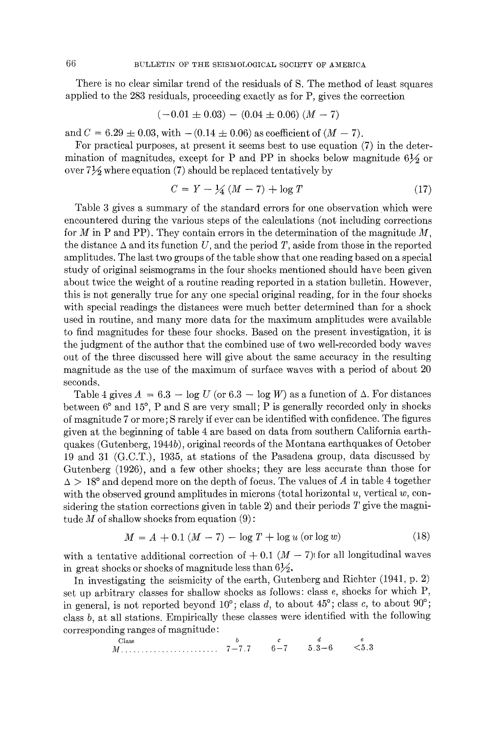There is no clear similar trend of the residuals of S. The method of least squares applied to the 283 residuals, proceeding exactly as for P, gives the correction

$$
(-0.01 \pm 0.03) - (0.04 \pm 0.06) (M - 7)
$$

and  $C = 6.29 \pm 0.03$ , with  $-(0.14 \pm 0.06)$  as coefficient of  $(M - 7)$ .

For practical purposes, at present it seems best to use equation (7) in the determination of magnitudes, except for P and PP in shocks below magnitude  $6\frac{1}{2}$  or over  $7\frac{1}{2}$  where equation (7) should be replaced tentatively by

$$
C = Y - \frac{1}{4}(M - 7) + \log T \tag{17}
$$

Table 3 gives a summary of the standard errors for one observation which were encountered during the various steps of the calculations (not including corrections for M in P and PP). They contain errors in the determination of the magnitude  $M$ , the distance  $\Delta$  and its function U, and the period T, aside from those in the reported amplitudes. The last two groups of the table show that one reading based on a special study of original seismograms in the four shocks mentioned should have been given about twice the weight of a routine reading reported in a station bulletin. However, this is not generally true for any one special original reading, for in the four shocks with special readings the distances were much better determined than for a shock used in routine, and many more data for the maximum amplitudes were available to find magnitudes for these four shocks. Based on the present investigation, it is the judgment of the author that the combined use of two well-recorded body waves out of the three discussed here will give about the same accuracy in the resulting magnitude as the use of the maximum of surface waves with a period of about 20 seconds.

Table 4 gives  $A = 6.3 - \log U$  (or 6.3 -  $\log W$ ) as a function of  $\Delta$ . For distances between  $6^{\circ}$  and  $15^{\circ}$ , P and S are very small; P is generally recorded only in shocks of magnitude 7 or more; S rarely if ever can be identified with confidence. The figures given at the beginning of table 4 are based on data from southern California earthquakes (Gutenberg, 1944b), original records of the Montana earthquakes of October 19 and 31 (G.C.T.), 1935, at stations of the Pasadena group, data discussed by Gutenberg (1926), and a few other shocks; they are less accurate than those for  $\Delta > 18^{\circ}$  and depend more on the depth of focus. The values of A in table 4 together with the observed ground amplitudes in microns (total horizontal  $u$ , vertical  $w$ , considering the station corrections given in table 2) and their periods  $T$  give the magnitude  $M$  of shallow shocks from equation  $(9)$ :

$$
M = A + 0.1 (M - 7) - \log T + \log u \text{ (or } \log w \text{)}
$$
 (18)

with a tentative additional correction of  $+$  0.1 ( $M - 7$ ) for all longitudinal waves in great shocks or shocks of magnitude less than  $6\frac{1}{2}$ .

In investigating the seismicity of the earth, Gutenberg and Richter (1941, p. 2) set up arbitrary classes for shallow shocks as follows: class e, shocks for which P, in general, is not reported beyond' 10°; class d, to about 45°; class *c,* to about 90°; class *b,* at all stations. Empirically these classes were identified with the following corresponding ranges of magnitude:

Class   
*M*......... 
$$
7-7.7
$$
  $6-7$   $5.3-6$   $5.3$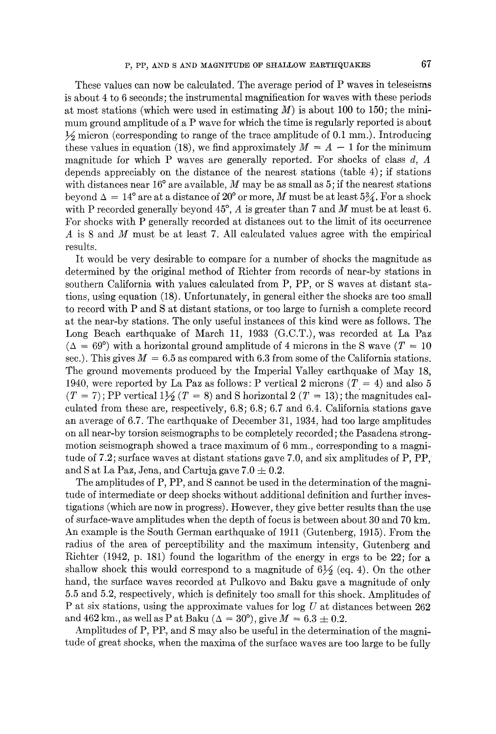These values can now be calculated. The average period of P waves in teleseisms is about 4 to 6 seconds; the instrumental magnification for waves with these periods at most stations (which were used in estimating  $M$ ) is about 100 to 150; the minimum ground amplitude of a  $P$  wave for which the time is regularly reported is about  $\frac{1}{2}$  micron (corresponding to range of the trace amplitude of 0.1 mm.). Introducing these values in equation (18), we find approximately  $M = A - 1$  for the minimum magnitude for which P waves are generally reported. For shocks of class  $d, A$ depends appreciably on the distance of the nearest stations (table 4); if stations with distances near  $16^{\circ}$  are available, M may be as small as 5; if the nearest stations beyond  $\Delta = 14^{\circ}$  are at a distance of 20° or more, M must be at least 5 $\frac{3}{4}$ . For a shock with P recorded generally beyond  $45^{\circ}$ , A is greater than 7 and M must be at least 6. For shocks with P generally recorded at distances out to the limit of its occurrence A is 8 and M must be at least 7. All calculated values agree with the empirical results.

It would be very desirable to compare for a number of shocks the magnitude as determined by the original method of Richter from records of near-by stations in southern California with values calculated from P, PP, or S waves at distant stations, using equation (18). Unfortunately, in general either the shocks are too small to record with P and S at distant stations, or too large to furnish a complete record at the near-by stations. The only useful instances of this kind were as follows. The Long Beach earthquake of March 11, 1933 (G.C.T.), was recorded at La Paz  $(\Delta = 69^{\circ})$  with a horizontal ground amplitude of 4 microns in the S wave  $(T = 10^{\circ})$ sec.). This gives  $M = 6.5$  as compared with 6.3 from some of the California stations. The ground movements produced by the Imperial Valley earthquake of May 18, 1940, were reported by La Paz as follows: P vertical 2 microns  $(T = 4)$  and also 5  $(T = 7)$ ; PP vertical  $1\frac{1}{2}(T = 8)$  and S horizontal 2  $(T = 13)$ ; the magnitudes calculated from these are, respectively, 6.8; 6.8; 6.7 and 6.4. California stations gave an average of 6.7. The earthquake of December 31, 1934, had too large amplitudes on all near-by torsion seismographs to be completely recorded; the Pasadena strongmotion seismograph showed a trace maximum of  $6 \text{ mm}$ , corresponding to a magnitude of 7.2; surface waves at distant stations gave 7.0, and six amplitudes of P, PP, and S at La Paz, Jena, and Cartuja gave  $7.0 \pm 0.2$ .

The amplitudes of P, PP, and S cannot be used in the determination of the magnitude of intermediate or deep shocks without additional definition and further investigations (which are now in progress). However, they give better results than the use of surface-wave amplitudes when the depth of focus is between about 30 and 70 kin. An example is the South German earthquake of 1911 (Gutenberg, 1915): From the radius of the area of perceptibility and the maximum intensity, Gutenberg and Richter (1942, p. 181) found the logarithm of the energy in ergs to be 22; for a shallow shock this would correspond to a magnitude of  $6\frac{1}{2}$  (eq. 4). On the other hand, the surface waves recorded at Pulkovo and Baku gave a magnitude of only 5.5 and 5.2, respectively, which is definitely too small for this shock. Amplitudes of P at six stations, using the approximate values for log  $U$  at distances between 262 and 462 km., as well as P at Baku ( $\Delta = 30^{\circ}$ ), give  $M = 6.3 \pm 0.2$ .

Amplitudes of P, PP, and S may also be useful in the determination of the magnitude of great shocks, when the maxima of the surface waves are too large to be fully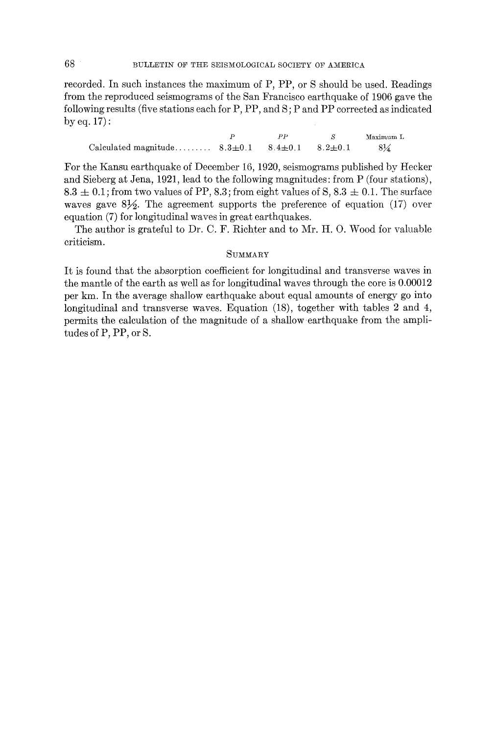recorded. In such instances the maximum of P, PP, or S should be used. Readings from the reproduced seismograms of the San Francisco earthquake of 1906 gave the following results (five stations each for P, PP, and S; P and PP corrected as indicated by eq. 17) :

*P PP S* Maximum L Calculated magnitude .........  $8.3 \pm 0.1$   $8.4 \pm 0.1$   $8.2 \pm 0.1$   $8\frac{1}{4}$ 

For the Kansu earthquake of December 16, 1920, seismograms published by Hecker and Sieberg at Jena, 1921, lead to the following magnitudes: from P (four stations),  $8.3 \pm 0.1$ ; from two values of PP, 8.3; from eight values of S,  $8.3 \pm 0.1$ . The surface waves gave  $8\frac{1}{2}$ . The agreement supports the preference of equation (17) over equation (7) for longitudinal waves in great earthquakes.

The author is grateful to Dr. C. F. Richter and to Mr. H. O. Wood for valuable criticism.

## **SUMMARY**

It is found that the absorption coefficient for longitudinal and transverse waves in the mantle of the earth as well as for longitudinal waves through the core is 0.00012 per km. In the average shallow earthquake about equal amounts of energy go into longitudinal and transverse waves. Equation (18), together with tables 2 and 4, permits the calculation of the magnitude of a shallow earthquake from the amplitudes of P, PP, or S.